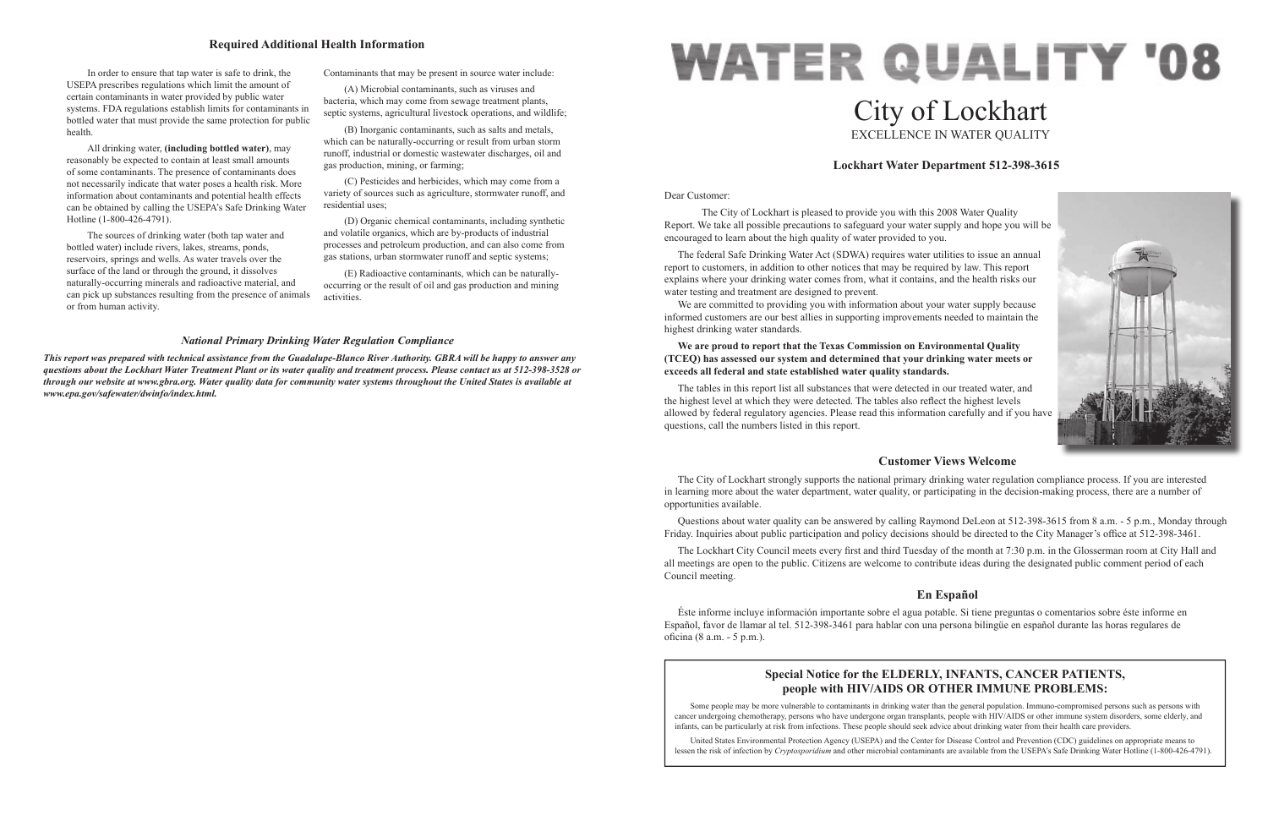#### Dear Customer:

 The City of Lockhart is pleased to provide you with this 2008 Water Quality Report. We take all possible precautions to safeguard your water supply and hope you will be encouraged to learn about the high quality of water provided to you.

We are committed to providing you with information about your water supply because informed customers are our best allies in supporting improvements needed to maintain the highest drinking water standards.

 The federal Safe Drinking Water Act (SDWA) requires water utilities to issue an annual report to customers, in addition to other notices that may be required by law. This report explains where your drinking water comes from, what it contains, and the health risks our water testing and treatment are designed to prevent.

# **WATER QUALITY '08** City of Lockhart EXCELLENCE IN WATER QUALITY

 Questions about water quality can be answered by calling Raymond DeLeon at 512-398-3615 from 8 a.m. - 5 p.m., Monday through Friday. Inquiries about public participation and policy decisions should be directed to the City Manager's office at 512-398-3461.

## **We are proud to report that the Texas Commission on Environmental Quality (TCEQ) has assessed our system and determined that your drinking water meets or exceeds all federal and state established water quality standards.**

The Lockhart City Council meets every first and third Tuesday of the month at 7:30 p.m. in the Glosserman room at City Hall and all meetings are open to the public. Citizens are welcome to contribute ideas during the designated public comment period of each Council meeting.

 Éste informe incluye información importante sobre el agua potable. Si tiene preguntas o comentarios sobre éste informe en Español, favor de llamar al tel. 512-398-3461 para hablar con una persona bilingüe en español durante las horas regulares de oficina (8 a.m. - 5 p.m.).

The tables in this report list all substances that were detected in our treated water, and the highest level at which they were detected. The tables also reflect the highest levels allowed by federal regulatory agencies. Please read this information carefully and if you have questions, call the numbers listed in this report.

# **Lockhart Water Department 512-398-3615**



# **Customer Views Welcome**

 The City of Lockhart strongly supports the national primary drinking water regulation compliance process. If you are interested in learning more about the water department, water quality, or participating in the decision-making process, there are a number of opportunities available.

# **En Español**

 In order to ensure that tap water is safe to drink, the USEPA prescribes regulations which limit the amount of certain contaminants in water provided by public water systems. FDA regulations establish limits for contaminants in bottled water that must provide the same protection for public health.

 All drinking water, **(including bottled water)**, may reasonably be expected to contain at least small amounts of some contaminants. The presence of contaminants does not necessarily indicate that water poses a health risk. More information about contaminants and potential health effects can be obtained by calling the USEPA's Safe Drinking Water Hotline (1-800-426-4791).

 The sources of drinking water (both tap water and bottled water) include rivers, lakes, streams, ponds, reservoirs, springs and wells. As water travels over the surface of the land or through the ground, it dissolves naturally-occurring minerals and radioactive material, and can pick up substances resulting from the presence of animals or from human activity.

Contaminants that may be present in source water include:

 (A) Microbial contaminants, such as viruses and bacteria, which may come from sewage treatment plants, septic systems, agricultural livestock operations, and wildlife;

 (B) Inorganic contaminants, such as salts and metals, which can be naturally-occurring or result from urban storm runoff, industrial or domestic wastewater discharges, oil and gas production, mining, or farming;

 (C) Pesticides and herbicides, which may come from a variety of sources such as agriculture, stormwater runoff, and residential uses;

 (D) Organic chemical contaminants, including synthetic and volatile organics, which are by-products of industrial processes and petroleum production, and can also come from gas stations, urban stormwater runoff and septic systems;

 (E) Radioactive contaminants, which can be naturallyoccurring or the result of oil and gas production and mining activities.

## **Required Additional Health Information**

#### *National Primary Drinking Water Regulation Compliance*

*This report was prepared with technical assistance from the Guadalupe-Blanco River Authority. GBRA will be happy to answer any questions about the Lockhart Water Treatment Plant or its water quality and treatment process. Please contact us at 512-398-3528 or through our website at www.gbra.org. Water quality data for community water systems throughout the United States is available at www.epa.gov/safewater/dwinfo/index.html.*

# **Special Notice for the ELDERLY, INFANTS, CANCER PATIENTS, people with HIV/AIDS OR OTHER IMMUNE PROBLEMS:**

Some people may be more vulnerable to contaminants in drinking water than the general population. Immuno-compromised persons such as persons with cancer undergoing chemotherapy, persons who have undergone organ transplants, people with HIV/AIDS or other immune system disorders, some elderly, and infants, can be particularly at risk from infections. These people should seek advice about drinking water from their health care providers.

 United States Environmental Protection Agency (USEPA) and the Center for Disease Control and Prevention (CDC) guidelines on appropriate means to lessen the risk of infection by *Cryptosporidium* and other microbial contaminants are available from the USEPA's Safe Drinking Water Hotline (1-800-426-4791).